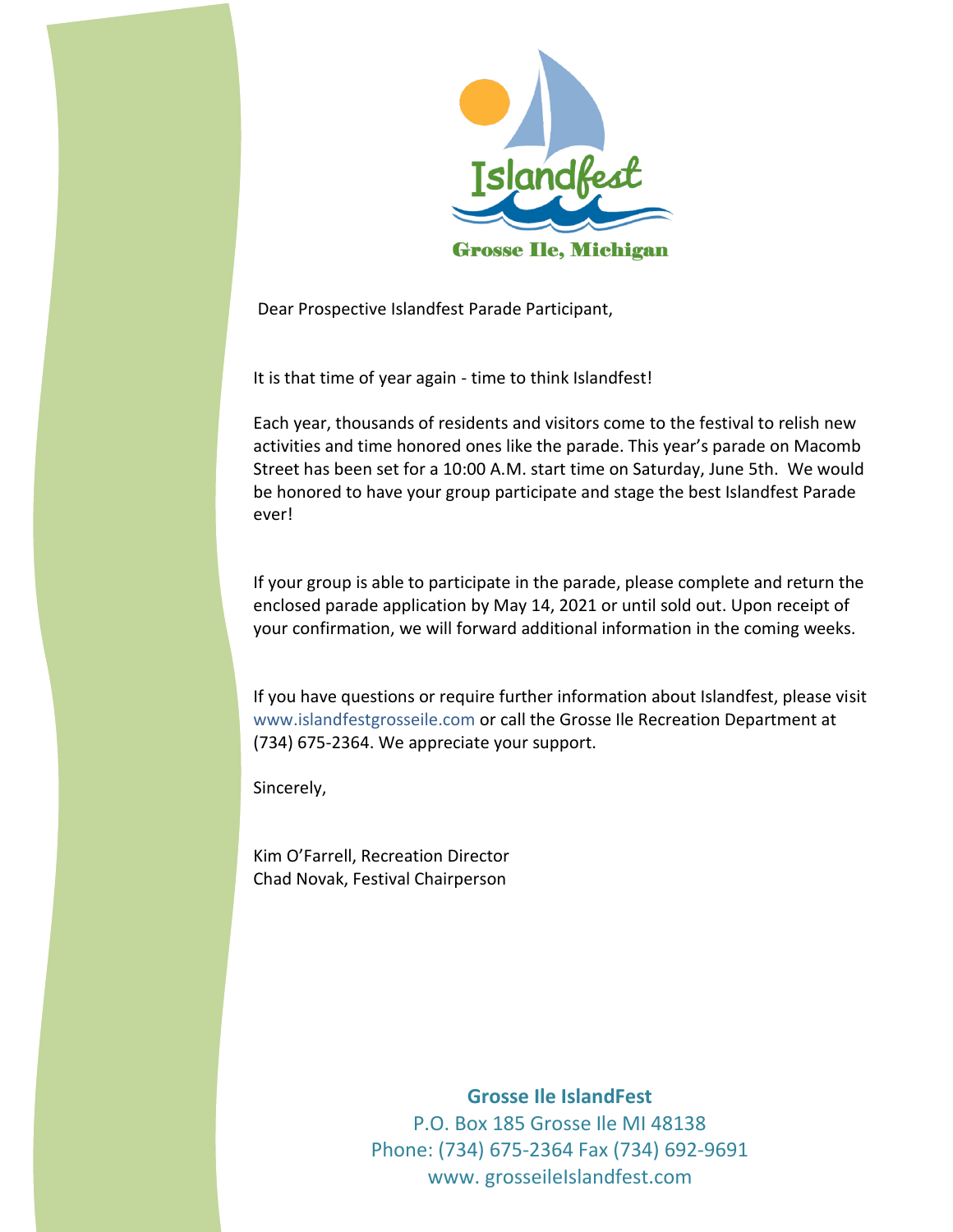

Dear Prospective Islandfest Parade Participant,

It is that time of year again - time to think Islandfest!

Each year, thousands of residents and visitors come to the festival to relish new activities and time honored ones like the parade. This year's parade on Macomb Street has been set for a 10:00 A.M. start time on Saturday, June 5th. We would be honored to have your group participate and stage the best Islandfest Parade ever!

If your group is able to participate in the parade, please complete and return the enclosed parade application by May 14, 2021 or until sold out. Upon receipt of your confirmation, we will forward additional information in the coming weeks.

If you have questions or require further information about Islandfest, please visit www.islandfestgrosseile.com or call the Grosse Ile Recreation Department at (734) 675-2364. We appreciate your support.

Sincerely,

Kim O'Farrell, Recreation Director Chad Novak, Festival Chairperson

> **Grosse Ile IslandFest** P.O. Box 185 Grosse Ile MI 48138 Phone: (734) 675-2364 Fax (734) 692-9691 www. grosseileIslandfest.com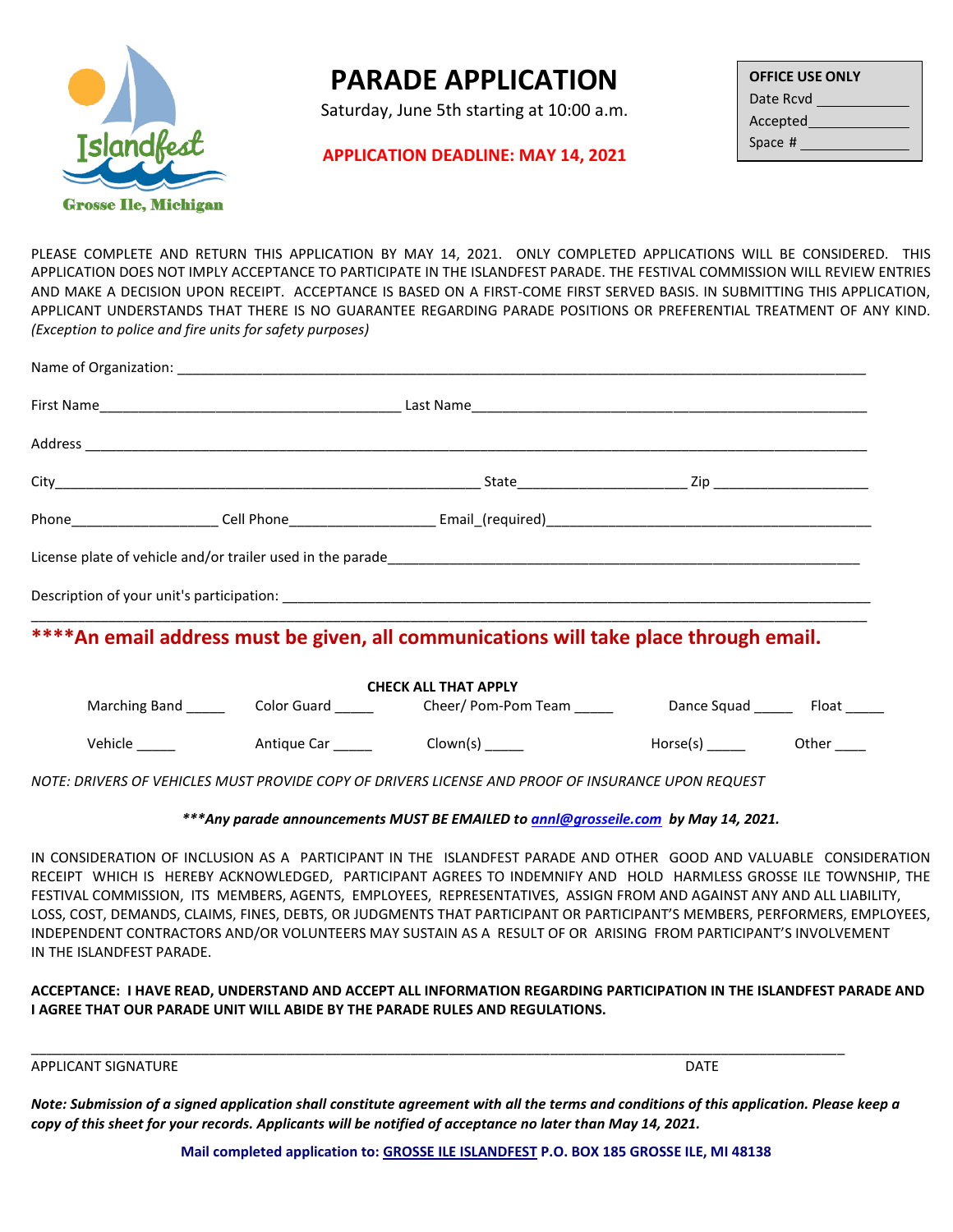

## **PARADE APPLICATION**

Saturday, June 5th starting at 10:00 a.m.

## **APPLICATION DEADLINE: MAY 14, 2021**

| <b>OFFICE USE ONLY</b> |  |  |  |  |  |
|------------------------|--|--|--|--|--|
| Date Rcvd              |  |  |  |  |  |
| Accepted               |  |  |  |  |  |
| Space #                |  |  |  |  |  |

PLEASE COMPLETE AND RETURN THIS APPLICATION BY MAY 14, 2021. ONLY COMPLETED APPLICATIONS WILL BE CONSIDERED. THIS APPLICATION DOES NOT IMPLY ACCEPTANCE TO PARTICIPATE IN THE ISLANDFEST PARADE. THE FESTIVAL COMMISSION WILL REVIEW ENTRIES AND MAKE A DECISION UPON RECEIPT. ACCEPTANCE IS BASED ON A FIRST‐COME FIRST SERVED BASIS. IN SUBMITTING THIS APPLICATION, APPLICANT UNDERSTANDS THAT THERE IS NO GUARANTEE REGARDING PARADE POSITIONS OR PREFERENTIAL TREATMENT OF ANY KIND. *(Exception to police and fire units for safety purposes)*

|  | ****An email address must be given, all communications will take place through email.                           |  |
|--|-----------------------------------------------------------------------------------------------------------------|--|
|  | <b>CHECK ALL THAT APPLY</b>                                                                                     |  |
|  | Marching Band ___________Color Guard _____________Cheer/ Pom-Pom Team ___________Dance Squad ________ Float ___ |  |
|  |                                                                                                                 |  |

*NOTE: DRIVERS OF VEHICLES MUST PROVIDE COPY OF DRIVERS LICENSE AND PROOF OF INSURANCE UPON REQUEST*

*\*\*\*Any parade announcements MUST BE EMAILED t[o annl@grosseile.com](mailto:annl@grosseile.com) by May 14, 2021.*

IN CONSIDERATION OF INCLUSION AS A PARTICIPANT IN THE ISLANDFEST PARADE AND OTHER GOOD AND VALUABLE CONSIDERATION RECEIPT WHICH IS HEREBY ACKNOWLEDGED, PARTICIPANT AGREES TO INDEMNIFY AND HOLD HARMLESS GROSSE ILE TOWNSHIP, THE FESTIVAL COMMISSION, ITS MEMBERS, AGENTS, EMPLOYEES, REPRESENTATIVES, ASSIGN FROM AND AGAINST ANY AND ALL LIABILITY, LOSS, COST, DEMANDS, CLAIMS, FINES, DEBTS, OR JUDGMENTS THAT PARTICIPANT OR PARTICIPANT'S MEMBERS, PERFORMERS, EMPLOYEES, INDEPENDENT CONTRACTORS AND/OR VOLUNTEERS MAY SUSTAIN AS A RESULT OF OR ARISING FROM PARTICIPANT'S INVOLVEMENT IN THE ISLANDFEST PARADE.

**ACCEPTANCE: I HAVE READ, UNDERSTAND AND ACCEPT ALL INFORMATION REGARDING PARTICIPATION IN THE ISLANDFEST PARADE AND I AGREE THAT OUR PARADE UNIT WILL ABIDE BY THE PARADE RULES AND REGULATIONS.**

APPLICANT SIGNATURE **DATE** 

*Note: Submission of a signed application shall constitute agreement with all the terms and conditions of this application. Please keep a copy of this sheet for your records. Applicants will be notified of acceptance no later than May 14, 2021.* 

\_\_\_\_\_\_\_\_\_\_\_\_\_\_\_\_\_\_\_\_\_\_\_\_\_\_\_\_\_\_\_\_\_\_\_\_\_\_\_\_\_\_\_\_\_\_\_\_\_\_\_\_\_\_\_\_\_\_\_\_\_\_\_\_\_\_\_\_\_\_\_\_\_\_\_\_\_\_\_\_\_\_\_\_\_\_\_\_\_\_\_\_\_\_\_\_\_\_\_\_\_\_\_\_\_

**Mail completed application to: GROSSE ILE ISLANDFEST P.O. BOX 185 GROSSE ILE, MI 48138**